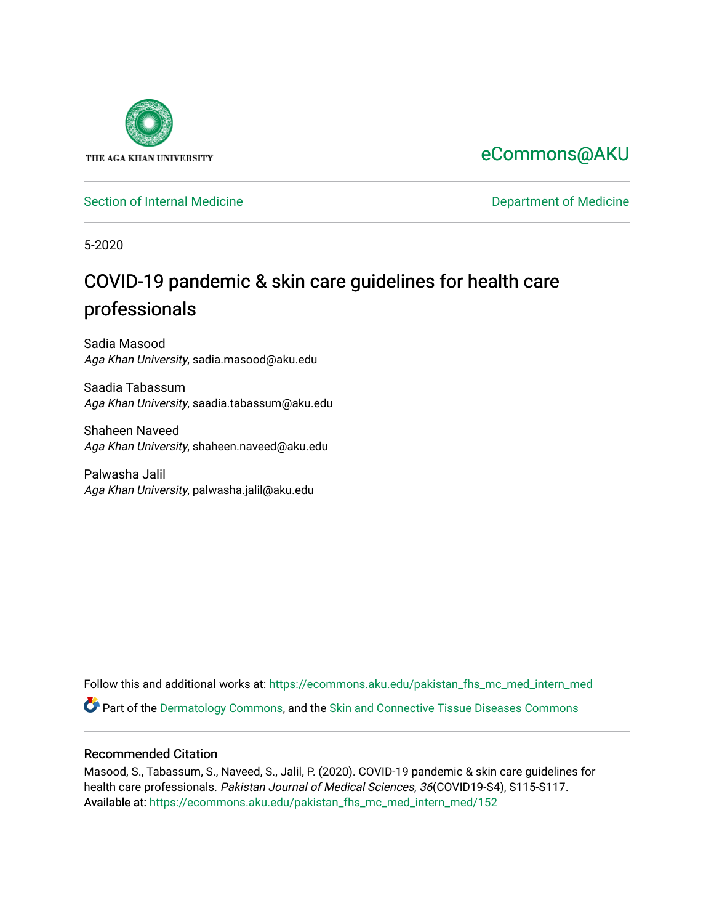

# [eCommons@AKU](https://ecommons.aku.edu/)

[Section of Internal Medicine](https://ecommons.aku.edu/pakistan_fhs_mc_med_intern_med) **Department of Medicine** Department of Medicine

5-2020

# COVID-19 pandemic & skin care guidelines for health care professionals

Sadia Masood Aga Khan University, sadia.masood@aku.edu

Saadia Tabassum Aga Khan University, saadia.tabassum@aku.edu

Shaheen Naveed Aga Khan University, shaheen.naveed@aku.edu

Palwasha Jalil Aga Khan University, palwasha.jalil@aku.edu

Follow this and additional works at: [https://ecommons.aku.edu/pakistan\\_fhs\\_mc\\_med\\_intern\\_med](https://ecommons.aku.edu/pakistan_fhs_mc_med_intern_med?utm_source=ecommons.aku.edu%2Fpakistan_fhs_mc_med_intern_med%2F152&utm_medium=PDF&utm_campaign=PDFCoverPages)  Part of the [Dermatology Commons,](http://network.bepress.com/hgg/discipline/684?utm_source=ecommons.aku.edu%2Fpakistan_fhs_mc_med_intern_med%2F152&utm_medium=PDF&utm_campaign=PDFCoverPages) and the [Skin and Connective Tissue Diseases Commons](http://network.bepress.com/hgg/discipline/942?utm_source=ecommons.aku.edu%2Fpakistan_fhs_mc_med_intern_med%2F152&utm_medium=PDF&utm_campaign=PDFCoverPages)

## Recommended Citation

Masood, S., Tabassum, S., Naveed, S., Jalil, P. (2020). COVID-19 pandemic & skin care guidelines for health care professionals. Pakistan Journal of Medical Sciences, 36(COVID19-S4), S115-S117. Available at: [https://ecommons.aku.edu/pakistan\\_fhs\\_mc\\_med\\_intern\\_med/152](https://ecommons.aku.edu/pakistan_fhs_mc_med_intern_med/152)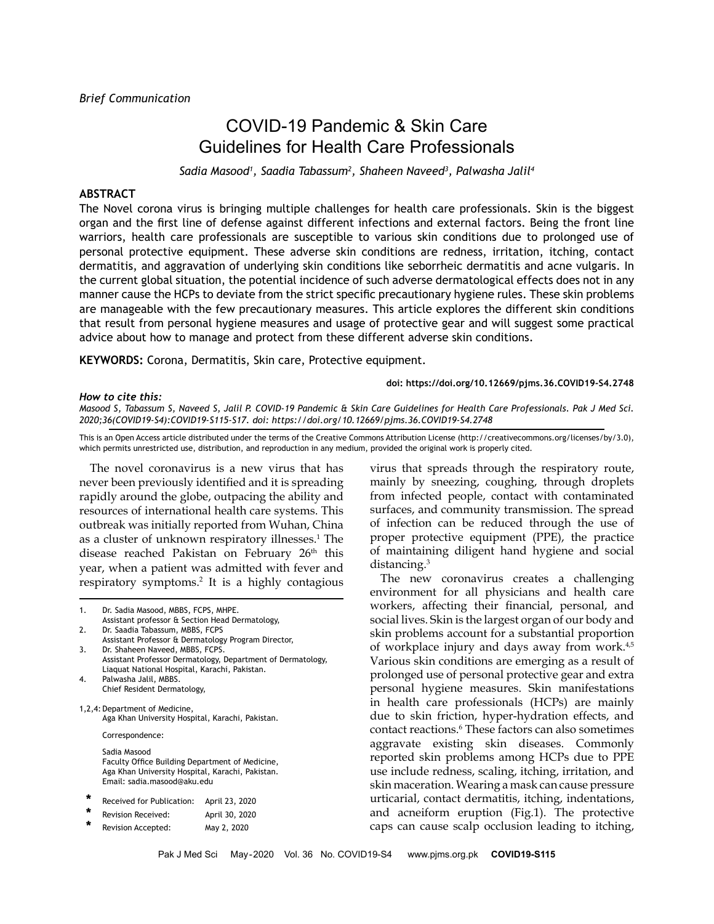# COVID-19 Pandemic & Skin Care Guidelines for Health Care Professionals

*Sadia Masood1 , Saadia Tabassum2 , Shaheen Naveed3 , Palwasha Jalil4*

### **ABSTRACT**

The Novel corona virus is bringing multiple challenges for health care professionals. Skin is the biggest organ and the first line of defense against different infections and external factors. Being the front line warriors, health care professionals are susceptible to various skin conditions due to prolonged use of personal protective equipment. These adverse skin conditions are redness, irritation, itching, contact dermatitis, and aggravation of underlying skin conditions like seborrheic dermatitis and acne vulgaris. In the current global situation, the potential incidence of such adverse dermatological effects does not in any manner cause the HCPs to deviate from the strict specific precautionary hygiene rules. These skin problems are manageable with the few precautionary measures. This article explores the different skin conditions that result from personal hygiene measures and usage of protective gear and will suggest some practical advice about how to manage and protect from these different adverse skin conditions.

**KEYWORDS:** Corona, Dermatitis, Skin care, Protective equipment.

### **doi: https://doi.org/10.12669/pjms.36.COVID19-S4.2748**

#### *How to cite this:*

*Masood S, Tabassum S, Naveed S, Jalil P. COVID-19 Pandemic & Skin Care Guidelines for Health Care Professionals. Pak J Med Sci. 2020;36(COVID19-S4):COVID19-S115-S17. doi: https://doi.org/10.12669/pjms.36.COVID19-S4.2748*

This is an Open Access article distributed under the terms of the Creative Commons Attribution License (http://creativecommons.org/licenses/by/3.0), which permits unrestricted use, distribution, and reproduction in any medium, provided the original work is properly cited.

The novel coronavirus is a new virus that has never been previously identified and it is spreading rapidly around the globe, outpacing the ability and resources of international health care systems. This outbreak was initially reported from Wuhan, China as a cluster of unknown respiratory illnesses.<sup>1</sup> The disease reached Pakistan on February 26<sup>th</sup> this year, when a patient was admitted with fever and respiratory symptoms.2 It is a highly contagious

1. Dr. Sadia Masood, MBBS, FCPS, MHPE.

- Assistant professor & Section Head Dermatology, 2. Dr. Saadia Tabassum, MBBS, FCPS
- Assistant Professor & Dermatology Program Director, 3. Dr. Shaheen Naveed, MBBS, FCPS.
- Assistant Professor Dermatology, Department of Dermatology, Liaquat National Hospital, Karachi, Pakistan.
- 4. Palwasha Jalil, MBBS. Chief Resident Dermatology,

1,2,4: Department of Medicine, Aga Khan University Hospital, Karachi, Pakistan.

Correspondence:

Sadia Masood Faculty Office Building Department of Medicine, Aga Khan University Hospital, Karachi, Pakistan. Email: sadia.masood@aku.edu

| * | Received for Publication: | April 23, 2020 |  |
|---|---------------------------|----------------|--|
|   |                           |                |  |

- **\*** Revision Received: April 30, 2020
- **\*** Revision Accepted: May 2, 2020

virus that spreads through the respiratory route, mainly by sneezing, coughing, through droplets from infected people, contact with contaminated surfaces, and community transmission. The spread of infection can be reduced through the use of proper protective equipment (PPE), the practice of maintaining diligent hand hygiene and social distancing.<sup>3</sup>

The new coronavirus creates a challenging environment for all physicians and health care workers, affecting their financial, personal, and social lives. Skin is the largest organ of our body and skin problems account for a substantial proportion of workplace injury and days away from work.<sup>4,5</sup> Various skin conditions are emerging as a result of prolonged use of personal protective gear and extra personal hygiene measures. Skin manifestations in health care professionals (HCPs) are mainly due to skin friction, hyper-hydration effects, and contact reactions.6 These factors can also sometimes aggravate existing skin diseases. Commonly reported skin problems among HCPs due to PPE use include redness, scaling, itching, irritation, and skin maceration. Wearing a mask can cause pressure urticarial, contact dermatitis, itching, indentations, and acneiform eruption (Fig.1). The protective caps can cause scalp occlusion leading to itching,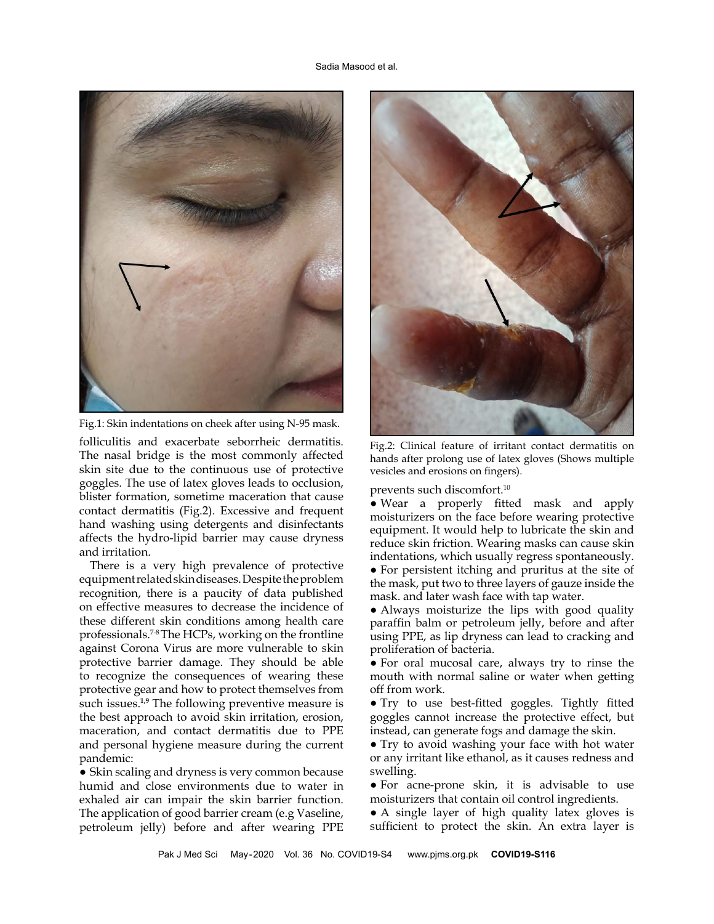

Fig.1: Skin indentations on cheek after using N-95 mask.

folliculitis and exacerbate seborrheic dermatitis. The nasal bridge is the most commonly affected skin site due to the continuous use of protective goggles. The use of latex gloves leads to occlusion, blister formation, sometime maceration that cause contact dermatitis (Fig.2). Excessive and frequent hand washing using detergents and disinfectants affects the hydro-lipid barrier may cause dryness and irritation.

There is a very high prevalence of protective equipment related skin diseases. Despite the problem recognition, there is a paucity of data published on effective measures to decrease the incidence of these different skin conditions among health care professionals.<sup>7-8</sup> The HCPs, working on the frontline against Corona Virus are more vulnerable to skin protective barrier damage. They should be able to recognize the consequences of wearing these protective gear and how to protect themselves from such issues.**1,9** The following preventive measure is the best approach to avoid skin irritation, erosion, maceration, and contact dermatitis due to PPE and personal hygiene measure during the current pandemic:

• Skin scaling and dryness is very common because humid and close environments due to water in exhaled air can impair the skin barrier function. The application of good barrier cream (e.g Vaseline, petroleum jelly) before and after wearing PPE



Fig.2: Clinical feature of irritant contact dermatitis on hands after prolong use of latex gloves (Shows multiple vesicles and erosions on fingers).

prevents such discomfort.10

● Wear a properly fitted mask and apply moisturizers on the face before wearing protective equipment. It would help to lubricate the skin and reduce skin friction. Wearing masks can cause skin indentations, which usually regress spontaneously. ● For persistent itching and pruritus at the site of

the mask, put two to three layers of gauze inside the mask. and later wash face with tap water.

• Always moisturize the lips with good quality paraffin balm or petroleum jelly, before and after using PPE, as lip dryness can lead to cracking and proliferation of bacteria.

● For oral mucosal care, always try to rinse the mouth with normal saline or water when getting off from work.

● Try to use best-fitted goggles. Tightly fitted goggles cannot increase the protective effect, but instead, can generate fogs and damage the skin.

● Try to avoid washing your face with hot water or any irritant like ethanol, as it causes redness and swelling.

● For acne-prone skin, it is advisable to use moisturizers that contain oil control ingredients.

● A single layer of high quality latex gloves is sufficient to protect the skin. An extra layer is